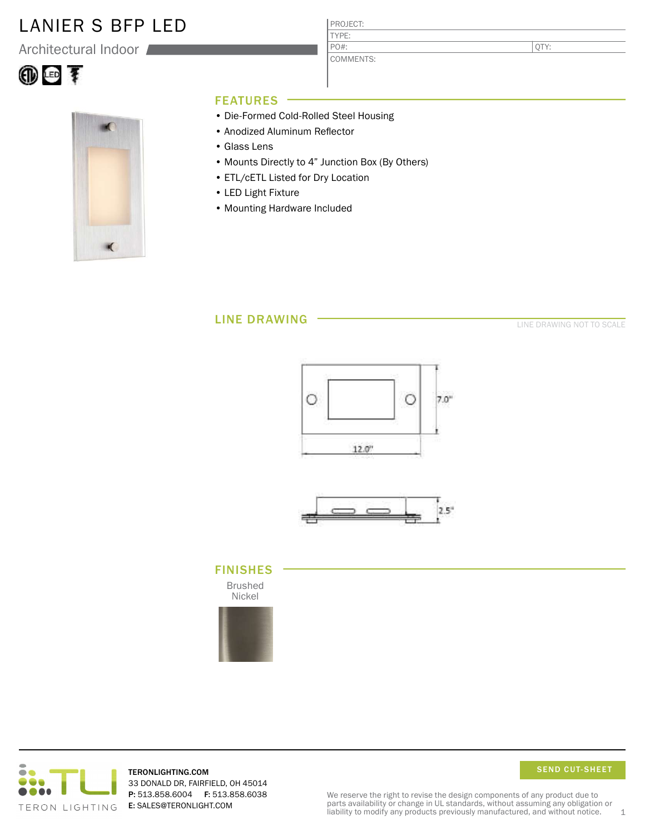### LANIER S BFP LED

Architectural Indoor





### FEATURES

- Die-Formed Cold-Rolled Steel Housing
- Anodized Aluminum Reflector
- Glass Lens
- Mounts Directly to 4" Junction Box (By Others)

PROJECT: TYPE:

PO#:

COMMENTS:

- ETL/cETL Listed for Dry Location
- LED Light Fixture
- Mounting Hardware Included

### LINE DRAWING

LINE DRAWING NOT TO SCALE

QTY:





#### FINISHES

Brushed Nickel





TERONLIGHTING.COM 33 DONALD DR, FAIRFIELD, OH 45014 P: 513.858.6004 F: 513.858.6038 E: SALES@TERONLIGHT.COM

SEND CUT-SHEET

We reserve the right to revise the design components of any product due to parts availability or change in UL standards, without assuming any obligation or liability to modify any products previously manufactured, and without notice. 1